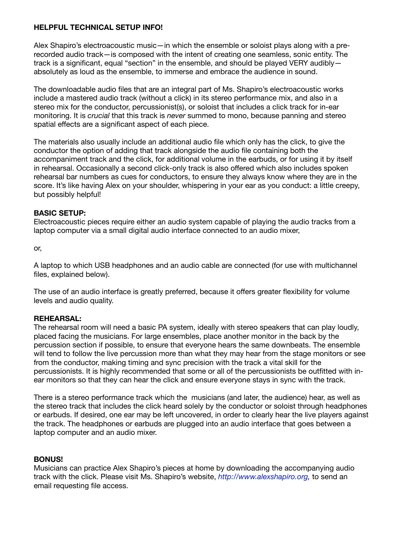# **HELPFUL TECHNICAL SETUP INFO!**

Alex Shapiro's electroacoustic music—in which the ensemble or soloist plays along with a prerecorded audio track—is composed with the intent of creating one seamless, sonic entity. The track is a significant, equal "section" in the ensemble, and should be played VERY audibly absolutely as loud as the ensemble, to immerse and embrace the audience in sound.

The downloadable audio files that are an integral part of Ms. Shapiro's electroacoustic works include a mastered audio track (without a click) in its stereo performance mix, and also in a stereo mix for the conductor, percussionist(s), or soloist that includes a click track for in-ear monitoring. It is *crucial* that this track is *never* summed to mono, because panning and stereo spatial effects are a significant aspect of each piece.

The materials also usually include an additional audio file which only has the click, to give the conductor the option of adding that track alongside the audio file containing both the accompaniment track and the click, for additional volume in the earbuds, or for using it by itself in rehearsal. Occasionally a second click-only track is also offered which also includes spoken rehearsal bar numbers as cues for conductors, to ensure they always know where they are in the score. It's like having Alex on your shoulder, whispering in your ear as you conduct: a little creepy, but possibly helpful!

# **BASIC SETUP:**

Electroacoustic pieces require either an audio system capable of playing the audio tracks from a laptop computer via a small digital audio interface connected to an audio mixer,

or,

A laptop to which USB headphones and an audio cable are connected (for use with multichannel files, explained below).

The use of an audio interface is greatly preferred, because it offers greater flexibility for volume levels and audio quality.

## **REHEARSAL:**

The rehearsal room will need a basic PA system, ideally with stereo speakers that can play loudly, placed facing the musicians. For large ensembles, place another monitor in the back by the percussion section if possible, to ensure that everyone hears the same downbeats. The ensemble will tend to follow the live percussion more than what they may hear from the stage monitors or see from the conductor, making timing and sync precision with the track a vital skill for the percussionists. It is highly recommended that some or all of the percussionists be outfitted with inear monitors so that they can hear the click and ensure everyone stays in sync with the track.

There is a stereo performance track which the musicians (and later, the audience) hear, as well as the stereo track that includes the click heard solely by the conductor or soloist through headphones or earbuds. If desired, one ear may be left uncovered, in order to clearly hear the live players against the track. The headphones or earbuds are plugged into an audio interface that goes between a laptop computer and an audio mixer.

## **BONUS!**

Musicians can practice Alex Shapiro's pieces at home by downloading the accompanying audio track with the click. Please visit Ms. Shapiro's website, *[http://www.alexshapiro.org,](http://www.alexshapiro.org)* to send an email requesting file access.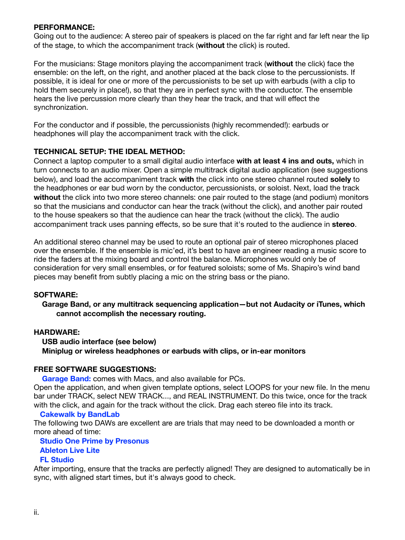## **PERFORMANCE:**

Going out to the audience: A stereo pair of speakers is placed on the far right and far left near the lip of the stage, to which the accompaniment track (**without** the click) is routed.

For the musicians: Stage monitors playing the accompaniment track (**without** the click) face the ensemble: on the left, on the right, and another placed at the back close to the percussionists. If possible, it is ideal for one or more of the percussionists to be set up with earbuds (with a clip to hold them securely in place!), so that they are in perfect sync with the conductor. The ensemble hears the live percussion more clearly than they hear the track, and that will effect the synchronization.

For the conductor and if possible, the percussionists (highly recommended!): earbuds or headphones will play the accompaniment track with the click.

### **TECHNICAL SETUP: THE IDEAL METHOD:**

Connect a laptop computer to a small digital audio interface **with at least 4 ins and outs,** which in turn connects to an audio mixer. Open a simple multitrack digital audio application (see suggestions below), and load the accompaniment track **with** the click into one stereo channel routed **solely** to the headphones or ear bud worn by the conductor, percussionists, or soloist. Next, load the track **without** the click into two more stereo channels: one pair routed to the stage (and podium) monitors so that the musicians and conductor can hear the track (without the click), and another pair routed to the house speakers so that the audience can hear the track (without the click). The audio accompaniment track uses panning effects, so be sure that it's routed to the audience in **stereo**.

An additional stereo channel may be used to route an optional pair of stereo microphones placed over the ensemble. If the ensemble is mic'ed, it's best to have an engineer reading a music score to ride the faders at the mixing board and control the balance. Microphones would only be of consideration for very small ensembles, or for featured soloists; some of Ms. Shapiro's wind band pieces may benefit from subtly placing a mic on the string bass or the piano.

### **SOFTWARE:**

### **Garage Band, or any multitrack sequencing application—but not Audacity or iTunes, which cannot accomplish the necessary routing.**

## **HARDWARE:**

 **USB audio interface (see below) Miniplug or wireless headphones or earbuds with clips, or in-ear monitors**

### **FREE SOFTWARE SUGGESTIONS:**

**[Garage Band](https://www.apple.com/mac/garageband/):** comes with Macs, and also available for PCs.

Open the application, and when given template options, select LOOPS for your new file. In the menu bar under TRACK, select NEW TRACK..., and REAL INSTRUMENT. Do this twice, once for the track with the click, and again for the track without the click. Drag each stereo file into its track.

### **[Cakewalk by BandLab](https://www.bandlab.com/products/cakewalk)**

The following two DAWs are excellent are are trials that may need to be downloaded a month or more ahead of time:

### **[Studio One Prime by Presonus](https://shop.presonus.com/Studio-One-5-Prime) [Ableton Live Lite](https://www.ableton.com/en/trial/) [FL Studio](https://www.image-line.com)**

After importing, ensure that the tracks are perfectly aligned! They are designed to automatically be in sync, with aligned start times, but it's always good to check.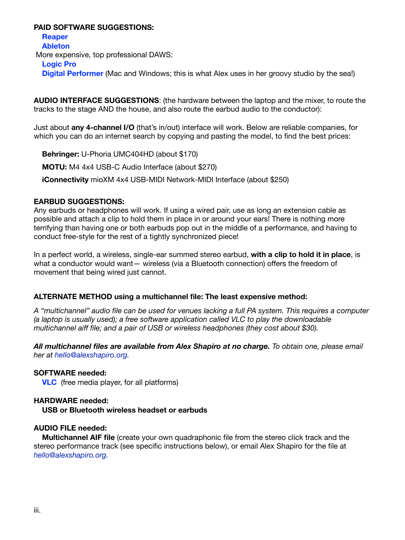## **PAID SOFTWARE SUGGESTIONS:**

 **[Reaper](https://www.reaper.fm) [Ableton](https://www.ableton.com)** More expensive, top professional DAWS: **[Logic Pro](https://www.apple.com/logic-pro/) Digital Performer** (Mac and Windows; this is what Alex uses in her groovy studio by the sea!)

**AUDIO INTERFACE SUGGESTIONS**: (the hardware between the laptop and the mixer, to route the tracks to the stage AND the house, and also route the earbud audio to the conductor):

Just about **any 4-channel I/O** (that's in/out) interface will work. Below are reliable companies, for which you can do an internet search by copying and pasting the model, to find the best prices:

 **Behringer:** U-Phoria UMC404HD (about \$170) **MOTU:** M4 4x4 USB-C Audio Interface (about \$270)

 **iConnectivity** mioXM 4x4 USB-MIDI Network-MIDI Interface (about \$250)

### **EARBUD SUGGESTIONS:**

Any earbuds or headphones will work. If using a wired pair, use as long an extension cable as possible and attach a clip to hold them in place in or around your ears! There is nothing more terrifying than having one or both earbuds pop out in the middle of a performance, and having to conduct free-style for the rest of a tightly synchronized piece!

In a perfect world, a wireless, single-ear summed stereo earbud, **with a clip to hold it in place**, is what a conductor would want— wireless (via a Bluetooth connection) offers the freedom of movement that being wired just cannot.

## **ALTERNATE METHOD using a multichannel file: The least expensive method:**

*A "multichannel" audio file can be used for venues lacking a full PA system. This requires a computer (a laptop is usually used); a free software application called VLC to play the downloadable multichannel aiff file; and a pair of USB or wireless headphones (they cost about \$30).* 

*All multichannel files are available from Alex Shapiro at no charge. To obtain one, please email her at [hello@alexshapiro.org.](mailto:hello@alexshapiro.org)*

### **SOFTWARE needed:**

**[VLC](http://www.videolan.org/vlc/)** (free media player, for all platforms)

### **HARDWARE needed:**

**USB or Bluetooth wireless headset or earbuds**

### **AUDIO FILE needed:**

 **Multichannel AIF file** (create your own quadraphonic file from the stereo click track and the stereo performance track (see specific instructions below), or email Alex Shapiro for the file at *[hello@alexshapiro.org.](mailto:hello@alexshapiro.org)*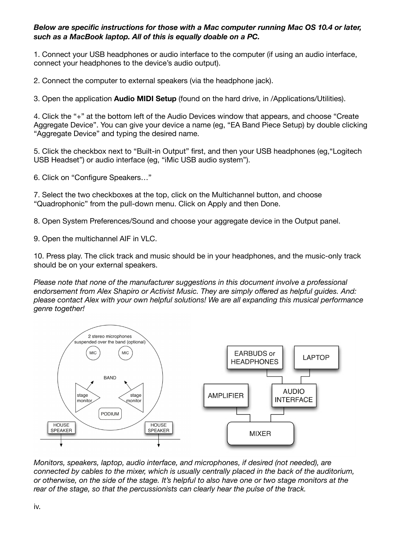# *Below are specific instructions for those with a Mac computer running Mac OS 10.4 or later, such as a MacBook laptop. All of this is equally doable on a PC.*

1. Connect your USB headphones or audio interface to the computer (if using an audio interface, connect your headphones to the device's audio output).

2. Connect the computer to external speakers (via the headphone jack).

3. Open the application **Audio MIDI Setup** (found on the hard drive, in /Applications/Utilities).

4. Click the "+" at the bottom left of the Audio Devices window that appears, and choose "Create Aggregate Device". You can give your device a name (eg, "EA Band Piece Setup) by double clicking "Aggregate Device" and typing the desired name.

5. Click the checkbox next to "Built-in Output" first, and then your USB headphones (eg,"Logitech USB Headset") or audio interface (eg, "iMic USB audio system").

6. Click on "Configure Speakers…"

7. Select the two checkboxes at the top, click on the Multichannel button, and choose "Quadrophonic" from the pull-down menu. Click on Apply and then Done.

8. Open System Preferences/Sound and choose your aggregate device in the Output panel.

9. Open the multichannel AIF in VLC.

10. Press play. The click track and music should be in your headphones, and the music-only track should be on your external speakers.

*Please note that none of the manufacturer suggestions in this document involve a professional endorsement from Alex Shapiro or Activist Music. They are simply offered as helpful guides. And: please contact Alex with your own helpful solutions! We are all expanding this musical performance genre together!* 



*Monitors, speakers, laptop, audio interface, and microphones, if desired (not needed), are connected by cables to the mixer, which is usually centrally placed in the back of the auditorium, or otherwise, on the side of the stage. It's helpful to also have one or two stage monitors at the rear of the stage, so that the percussionists can clearly hear the pulse of the track.*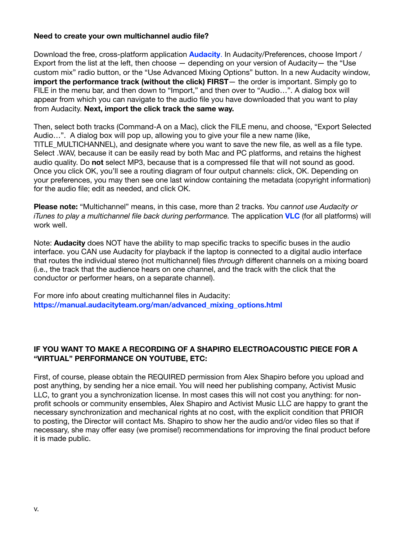## **Need to create your own multichannel audio file?**

Download the free, cross-platform application **[Audacity](https://www.audacityteam.org)**. In Audacity/Preferences, choose Import / Export from the list at the left, then choose  $-$  depending on your version of Audacity $-$  the "Use custom mix" radio button, or the "Use Advanced Mixing Options" button. In a new Audacity window, **import the performance track (without the click) FIRST**— the order is important. Simply go to FILE in the menu bar, and then down to "Import," and then over to "Audio...". A dialog box will appear from which you can navigate to the audio file you have downloaded that you want to play from Audacity. **Next, import the click track the same way.** 

Then, select both tracks (Command-A on a Mac), click the FILE menu, and choose, "Export Selected Audio…". A dialog box will pop up, allowing you to give your file a new name (like, TITLE\_MULTICHANNEL), and designate where you want to save the new file, as well as a file type. Select .WAV, because it can be easily read by both Mac and PC platforms, and retains the highest audio quality. Do **not** select MP3, because that is a compressed file that will not sound as good. Once you click OK, you'll see a routing diagram of four output channels: click, OK. Depending on your preferences, you may then see one last window containing the metadata (copyright information) for the audio file; edit as needed, and click OK.

**Please note:** "Multichannel" means, in this case, more than 2 tracks. *You cannot use Audacity or iTunes to play a multichannel file back during performance.* The application **[VLC](http://www.videolan.org/vlc)** (for all platforms) will work well.

Note: **Audacity** does NOT have the ability to map specific tracks to specific buses in the audio interface. you CAN use Audacity for playback if the laptop is connected to a digital audio interface that routes the individual stereo (not multichannel) files *through* different channels on a mixing board (i.e., the track that the audience hears on one channel, and the track with the click that the conductor or performer hears, on a separate channel).

For more info about creating multichannel files in Audacity: **[https://manual.audacityteam.org/man/advanced\\_mixing\\_options.html](https://manual.audacityteam.org/man/advanced_mixing_options.html)** 

# **IF YOU WANT TO MAKE A RECORDING OF A SHAPIRO ELECTROACOUSTIC PIECE FOR A "VIRTUAL" PERFORMANCE ON YOUTUBE, ETC:**

First, of course, please obtain the REQUIRED permission from Alex Shapiro before you upload and post anything, by sending her a nice email. You will need her publishing company, Activist Music LLC, to grant you a synchronization license. In most cases this will not cost you anything: for nonprofit schools or community ensembles, Alex Shapiro and Activist Music LLC are happy to grant the necessary synchronization and mechanical rights at no cost, with the explicit condition that PRIOR to posting, the Director will contact Ms. Shapiro to show her the audio and/or video files so that if necessary, she may offer easy (we promise!) recommendations for improving the final product before it is made public.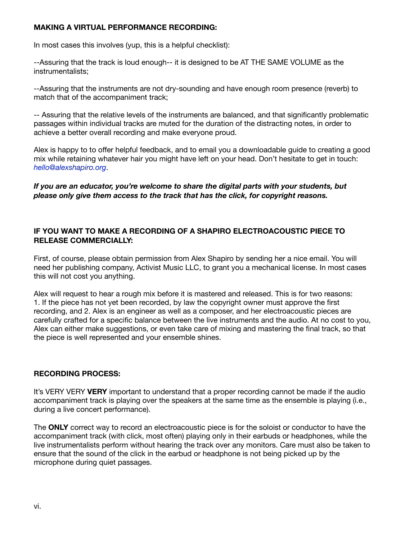# **MAKING A VIRTUAL PERFORMANCE RECORDING:**

In most cases this involves (yup, this is a helpful checklist):

--Assuring that the track is loud enough-- it is designed to be AT THE SAME VOLUME as the instrumentalists;

--Assuring that the instruments are not dry-sounding and have enough room presence (reverb) to match that of the accompaniment track;

-- Assuring that the relative levels of the instruments are balanced, and that significantly problematic passages within individual tracks are muted for the duration of the distracting notes, in order to achieve a better overall recording and make everyone proud.

Alex is happy to to offer helpful feedback, and to email you a downloadable guide to creating a good mix while retaining whatever hair you might have left on your head. Don't hesitate to get in touch: *[hello@alexshapiro.org](mailto:hello@alexshapiro.org)*.

*If you are an educator, you're welcome to share the digital parts with your students, but please only give them access to the track that has the click, for copyright reasons.* 

# **IF YOU WANT TO MAKE A RECORDING OF A SHAPIRO ELECTROACOUSTIC PIECE TO RELEASE COMMERCIALLY:**

First, of course, please obtain permission from Alex Shapiro by sending her a nice email. You will need her publishing company, Activist Music LLC, to grant you a mechanical license. In most cases this will not cost you anything.

Alex will request to hear a rough mix before it is mastered and released. This is for two reasons: 1. If the piece has not yet been recorded, by law the copyright owner must approve the first recording, and 2. Alex is an engineer as well as a composer, and her electroacoustic pieces are carefully crafted for a specific balance between the live instruments and the audio. At no cost to you, Alex can either make suggestions, or even take care of mixing and mastering the final track, so that the piece is well represented and your ensemble shines.

## **RECORDING PROCESS:**

It's VERY VERY **VERY** important to understand that a proper recording cannot be made if the audio accompaniment track is playing over the speakers at the same time as the ensemble is playing (i.e., during a live concert performance).

The **ONLY** correct way to record an electroacoustic piece is for the soloist or conductor to have the accompaniment track (with click, most often) playing only in their earbuds or headphones, while the live instrumentalists perform without hearing the track over any monitors. Care must also be taken to ensure that the sound of the click in the earbud or headphone is not being picked up by the microphone during quiet passages.